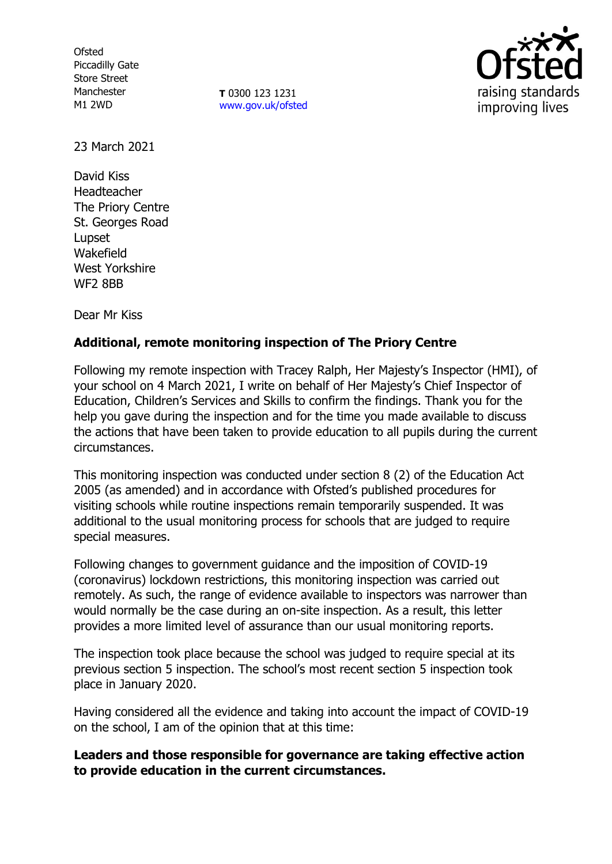**Ofsted** Piccadilly Gate Store Street Manchester M1 2WD

**T** 0300 123 1231 [www.gov.uk/ofsted](http://www.gov.uk/ofsted)



23 March 2021

David Kiss Headteacher The Priory Centre St. Georges Road Lupset Wakefield West Yorkshire WF2 8BB

Dear Mr Kiss

## **Additional, remote monitoring inspection of The Priory Centre**

Following my remote inspection with Tracey Ralph, Her Majesty's Inspector (HMI), of your school on 4 March 2021, I write on behalf of Her Majesty's Chief Inspector of Education, Children's Services and Skills to confirm the findings. Thank you for the help you gave during the inspection and for the time you made available to discuss the actions that have been taken to provide education to all pupils during the current circumstances.

This monitoring inspection was conducted under section 8 (2) of the Education Act 2005 (as amended) and in accordance with Ofsted's published procedures for visiting schools while routine inspections remain temporarily suspended. It was additional to the usual monitoring process for schools that are judged to require special measures.

Following changes to government guidance and the imposition of COVID-19 (coronavirus) lockdown restrictions, this monitoring inspection was carried out remotely. As such, the range of evidence available to inspectors was narrower than would normally be the case during an on-site inspection. As a result, this letter provides a more limited level of assurance than our usual monitoring reports.

The inspection took place because the school was judged to require special at its previous section 5 inspection. The school's most recent section 5 inspection took place in January 2020.

Having considered all the evidence and taking into account the impact of COVID-19 on the school, I am of the opinion that at this time:

**Leaders and those responsible for governance are taking effective action to provide education in the current circumstances.**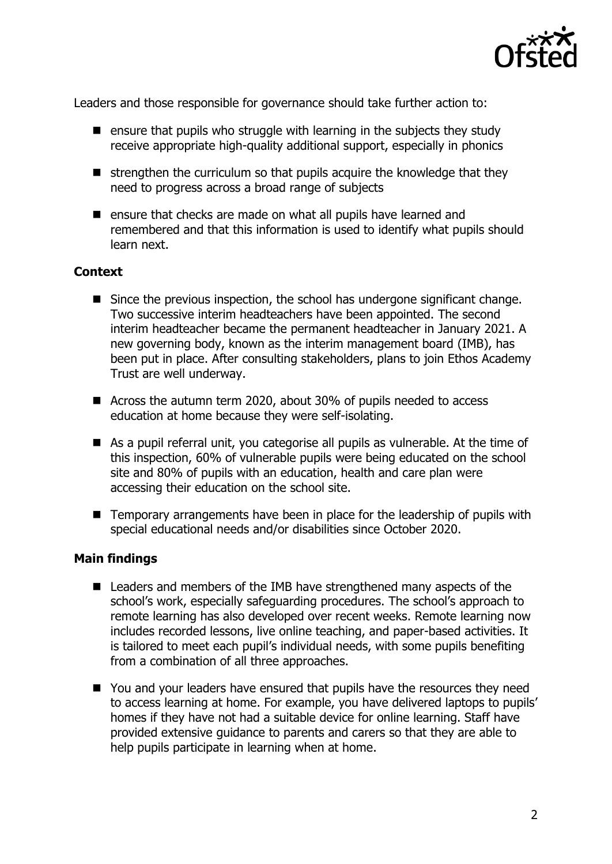

Leaders and those responsible for governance should take further action to:

- $\blacksquare$  ensure that pupils who struggle with learning in the subjects they study receive appropriate high-quality additional support, especially in phonics
- $\blacksquare$  strengthen the curriculum so that pupils acquire the knowledge that they need to progress across a broad range of subjects
- ensure that checks are made on what all pupils have learned and remembered and that this information is used to identify what pupils should learn next.

## **Context**

- Since the previous inspection, the school has undergone significant change. Two successive interim headteachers have been appointed. The second interim headteacher became the permanent headteacher in January 2021. A new governing body, known as the interim management board (IMB), has been put in place. After consulting stakeholders, plans to join Ethos Academy Trust are well underway.
- Across the autumn term 2020, about 30% of pupils needed to access education at home because they were self-isolating.
- As a pupil referral unit, you categorise all pupils as vulnerable. At the time of this inspection, 60% of vulnerable pupils were being educated on the school site and 80% of pupils with an education, health and care plan were accessing their education on the school site.
- Temporary arrangements have been in place for the leadership of pupils with special educational needs and/or disabilities since October 2020.

## **Main findings**

- Leaders and members of the IMB have strengthened many aspects of the school's work, especially safeguarding procedures. The school's approach to remote learning has also developed over recent weeks. Remote learning now includes recorded lessons, live online teaching, and paper-based activities. It is tailored to meet each pupil's individual needs, with some pupils benefiting from a combination of all three approaches.
- You and your leaders have ensured that pupils have the resources they need to access learning at home. For example, you have delivered laptops to pupils' homes if they have not had a suitable device for online learning. Staff have provided extensive guidance to parents and carers so that they are able to help pupils participate in learning when at home.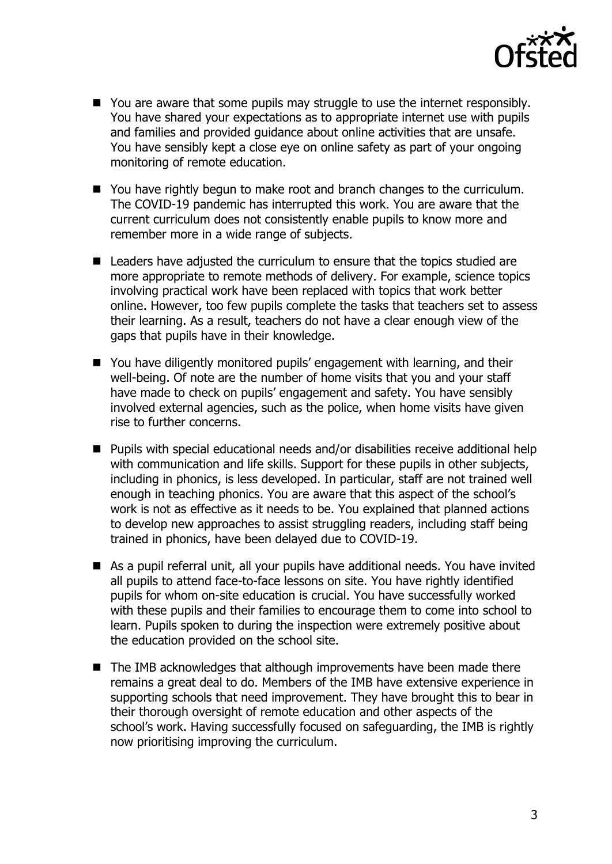

- You are aware that some pupils may struggle to use the internet responsibly. You have shared your expectations as to appropriate internet use with pupils and families and provided guidance about online activities that are unsafe. You have sensibly kept a close eye on online safety as part of your ongoing monitoring of remote education.
- You have rightly begun to make root and branch changes to the curriculum. The COVID-19 pandemic has interrupted this work. You are aware that the current curriculum does not consistently enable pupils to know more and remember more in a wide range of subjects.
- Leaders have adjusted the curriculum to ensure that the topics studied are more appropriate to remote methods of delivery. For example, science topics involving practical work have been replaced with topics that work better online. However, too few pupils complete the tasks that teachers set to assess their learning. As a result, teachers do not have a clear enough view of the gaps that pupils have in their knowledge.
- You have diligently monitored pupils' engagement with learning, and their well-being. Of note are the number of home visits that you and your staff have made to check on pupils' engagement and safety. You have sensibly involved external agencies, such as the police, when home visits have given rise to further concerns.
- Pupils with special educational needs and/or disabilities receive additional help with communication and life skills. Support for these pupils in other subjects, including in phonics, is less developed. In particular, staff are not trained well enough in teaching phonics. You are aware that this aspect of the school's work is not as effective as it needs to be. You explained that planned actions to develop new approaches to assist struggling readers, including staff being trained in phonics, have been delayed due to COVID-19.
- As a pupil referral unit, all your pupils have additional needs. You have invited all pupils to attend face-to-face lessons on site. You have rightly identified pupils for whom on-site education is crucial. You have successfully worked with these pupils and their families to encourage them to come into school to learn. Pupils spoken to during the inspection were extremely positive about the education provided on the school site.
- The IMB acknowledges that although improvements have been made there remains a great deal to do. Members of the IMB have extensive experience in supporting schools that need improvement. They have brought this to bear in their thorough oversight of remote education and other aspects of the school's work. Having successfully focused on safeguarding, the IMB is rightly now prioritising improving the curriculum.